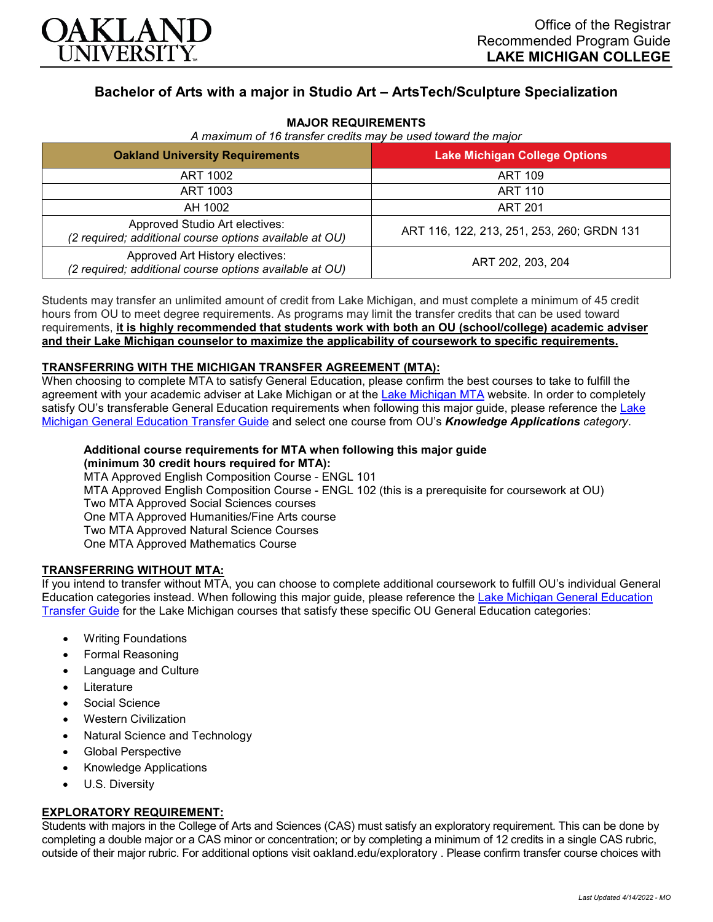

# **Bachelor of Arts with a major in Studio Art – ArtsTech/Sculpture Specialization**

## **MAJOR REQUIREMENTS**

|  | A maximum of 16 transfer credits may be used toward the major |  |  |  |  |  |  |  |  |  |
|--|---------------------------------------------------------------|--|--|--|--|--|--|--|--|--|
|--|---------------------------------------------------------------|--|--|--|--|--|--|--|--|--|

| <b>Oakland University Requirements</b>                                                     | <b>Lake Michigan College Options</b>       |  |  |  |
|--------------------------------------------------------------------------------------------|--------------------------------------------|--|--|--|
| ART 1002                                                                                   | ART 109                                    |  |  |  |
| ART 1003                                                                                   | ART 110                                    |  |  |  |
| AH 1002                                                                                    | <b>ART 201</b>                             |  |  |  |
| Approved Studio Art electives:<br>(2 required; additional course options available at OU)  | ART 116, 122, 213, 251, 253, 260; GRDN 131 |  |  |  |
| Approved Art History electives:<br>(2 required; additional course options available at OU) | ART 202, 203, 204                          |  |  |  |

Students may transfer an unlimited amount of credit from Lake Michigan, and must complete a minimum of 45 credit hours from OU to meet degree requirements. As programs may limit the transfer credits that can be used toward requirements, **it is highly recommended that students work with both an OU (school/college) academic adviser and their Lake Michigan counselor to maximize the applicability of coursework to specific requirements.**

#### **TRANSFERRING WITH THE MICHIGAN TRANSFER AGREEMENT (MTA):**

When choosing to complete MTA to satisfy General Education, please confirm the best courses to take to fulfill the agreement with your academic adviser at Lake Michigan or at the [Lake Michigan MTA](https://www.lakemichigancollege.edu/academics/educational-goals/transfer/transfer-information) website. In order to completely satisfy OU's transferable General Education requirements when following this major guide, please reference the Lake [Michigan General Education Transfer Guide](https://www.oakland.edu/Assets/Oakland/program-guides/lake-michigan-college/university-general-education-requirements/Lake%20Michigan%20Gen%20Ed.pdf) and select one course from OU's *Knowledge Applications category*.

#### **Additional course requirements for MTA when following this major guide (minimum 30 credit hours required for MTA):**

MTA Approved English Composition Course - ENGL 101 MTA Approved English Composition Course - ENGL 102 (this is a prerequisite for coursework at OU) Two MTA Approved Social Sciences courses One MTA Approved Humanities/Fine Arts course Two MTA Approved Natural Science Courses One MTA Approved Mathematics Course

#### **TRANSFERRING WITHOUT MTA:**

If you intend to transfer without MTA, you can choose to complete additional coursework to fulfill OU's individual General Education categories instead. When following this major guide, please reference the [Lake Michigan General Education](https://www.oakland.edu/Assets/Oakland/program-guides/lake-michigan-college/university-general-education-requirements/Lake%20Michigan%20Gen%20Ed.pdf)  [Transfer Guide](https://www.oakland.edu/Assets/Oakland/program-guides/lake-michigan-college/university-general-education-requirements/Lake%20Michigan%20Gen%20Ed.pdf) for the Lake Michigan courses that satisfy these specific OU General Education categories:

- Writing Foundations
- Formal Reasoning
- Language and Culture
- Literature
- Social Science
- Western Civilization
- Natural Science and Technology
- Global Perspective
- Knowledge Applications
- U.S. Diversity

#### **EXPLORATORY REQUIREMENT:**

Students with majors in the College of Arts and Sciences (CAS) must satisfy an exploratory requirement. This can be done by completing a double major or a CAS minor or concentration; or by completing a minimum of 12 credits in a single CAS rubric, outside of their major rubric. For additional options visit [oakland.edu/exploratory](http://www.oakland.edu/exploratory) . Please confirm transfer course choices with